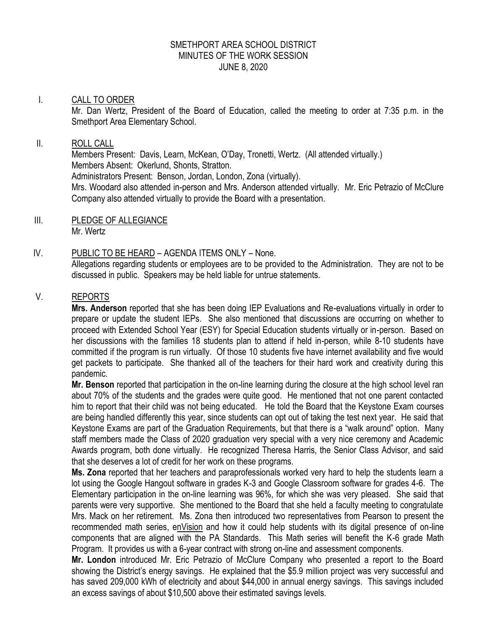### SMETHPORT AREA SCHOOL DISTRICT MINUTES OF THE WORK SESSION JUNE 8, 2020

#### I. CALL TO ORDER

Mr. Dan Wertz, President of the Board of Education, called the meeting to order at 7:35 p.m. in the Smethport Area Elementary School.

#### II. ROLL CALL

Members Present: Davis, Learn, McKean, O'Day, Tronetti, Wertz. (All attended virtually.) Members Absent: Okerlund, Shonts, Stratton. Administrators Present: Benson, Jordan, London, Zona (virtually). Mrs. Woodard also attended in-person and Mrs. Anderson attended virtually. Mr. Eric Petrazio of McClure Company also attended virtually to provide the Board with a presentation.

III. PLEDGE OF ALLEGIANCE Mr. Wertz

## IV. PUBLIC TO BE HEARD – AGENDA ITEMS ONLY – None.

Allegations regarding students or employees are to be provided to the Administration. They are not to be discussed in public. Speakers may be held liable for untrue statements.

### V. REPORTS

**Mrs. Anderson** reported that she has been doing IEP Evaluations and Re-evaluations virtually in order to prepare or update the student IEPs. She also mentioned that discussions are occurring on whether to proceed with Extended School Year (ESY) for Special Education students virtually or in-person. Based on her discussions with the families 18 students plan to attend if held in-person, while 8-10 students have committed if the program is run virtually. Of those 10 students five have internet availability and five would get packets to participate. She thanked all of the teachers for their hard work and creativity during this pandemic.

**Mr. Benson** reported that participation in the on-line learning during the closure at the high school level ran about 70% of the students and the grades were quite good. He mentioned that not one parent contacted him to report that their child was not being educated. He told the Board that the Keystone Exam courses are being handled differently this year, since students can opt out of taking the test next year. He said that Keystone Exams are part of the Graduation Requirements, but that there is a "walk around" option. Many staff members made the Class of 2020 graduation very special with a very nice ceremony and Academic Awards program, both done virtually. He recognized Theresa Harris, the Senior Class Advisor, and said that she deserves a lot of credit for her work on these programs.

**Ms. Zona** reported that her teachers and paraprofessionals worked very hard to help the students learn a lot using the Google Hangout software in grades K-3 and Google Classroom software for grades 4-6. The Elementary participation in the on-line learning was 96%, for which she was very pleased. She said that parents were very supportive. She mentioned to the Board that she held a faculty meeting to congratulate Mrs. Mack on her retirement. Ms. Zona then introduced two representatives from Pearson to present the recommended math series, enVision and how it could help students with its digital presence of on-line components that are aligned with the PA Standards. This Math series will benefit the K-6 grade Math Program. It provides us with a 6-year contract with strong on-line and assessment components.

**Mr. London** introduced Mr. Eric Petrazio of McClure Company who presented a report to the Board showing the District's energy savings. He explained that the \$5.9 million project was very successful and has saved 209,000 kWh of electricity and about \$44,000 in annual energy savings. This savings included an excess savings of about \$10,500 above their estimated savings levels.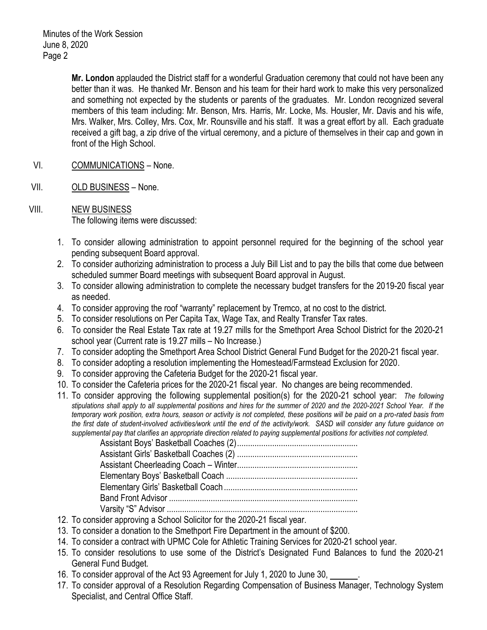Minutes of the Work Session June 8, 2020 Page 2

> **Mr. London** applauded the District staff for a wonderful Graduation ceremony that could not have been any better than it was. He thanked Mr. Benson and his team for their hard work to make this very personalized and something not expected by the students or parents of the graduates. Mr. London recognized several members of this team including: Mr. Benson, Mrs. Harris, Mr. Locke, Ms. Housler, Mr. Davis and his wife, Mrs. Walker, Mrs. Colley, Mrs. Cox, Mr. Rounsville and his staff. It was a great effort by all. Each graduate received a gift bag, a zip drive of the virtual ceremony, and a picture of themselves in their cap and gown in front of the High School.

- VI. COMMUNICATIONS None.
- VII. OLD BUSINESS None.
- VIII. NEW BUSINESS The following items were discussed:
	- 1. To consider allowing administration to appoint personnel required for the beginning of the school year pending subsequent Board approval.
	- 2. To consider authorizing administration to process a July Bill List and to pay the bills that come due between scheduled summer Board meetings with subsequent Board approval in August.
	- 3. To consider allowing administration to complete the necessary budget transfers for the 2019-20 fiscal year as needed.
	- 4. To consider approving the roof "warranty" replacement by Tremco, at no cost to the district.
	- 5. To consider resolutions on Per Capita Tax, Wage Tax, and Realty Transfer Tax rates.
	- 6. To consider the Real Estate Tax rate at 19.27 mills for the Smethport Area School District for the 2020-21 school year (Current rate is 19.27 mills – No Increase.)
	- 7. To consider adopting the Smethport Area School District General Fund Budget for the 2020-21 fiscal year.
	- 8. To consider adopting a resolution implementing the Homestead/Farmstead Exclusion for 2020.
	- 9. To consider approving the Cafeteria Budget for the 2020-21 fiscal year.
	- 10. To consider the Cafeteria prices for the 2020-21 fiscal year. No changes are being recommended.
	- 11. To consider approving the following supplemental position(s) for the 2020-21 school year: *The following stipulations shall apply to all supplemental positions and hires for the summer of 2020 and the 2020-2021 School Year. If the temporary work position, extra hours, season or activity is not completed, these positions will be paid on a pro-rated basis from the first date of student-involved activities/work until the end of the activity/work. SASD will consider any future guidance on supplemental pay that clarifies an appropriate direction related to paying supplemental positions for activities not completed.*

- 12. To consider approving a School Solicitor for the 2020-21 fiscal year.
- 13. To consider a donation to the Smethport Fire Department in the amount of \$200.
- 14. To consider a contract with UPMC Cole for Athletic Training Services for 2020-21 school year.
- 15. To consider resolutions to use some of the District's Designated Fund Balances to fund the 2020-21 General Fund Budget.
- 16. To consider approval of the Act 93 Agreement for July 1, 2020 to June 30, .
- 17. To consider approval of a Resolution Regarding Compensation of Business Manager, Technology System Specialist, and Central Office Staff.